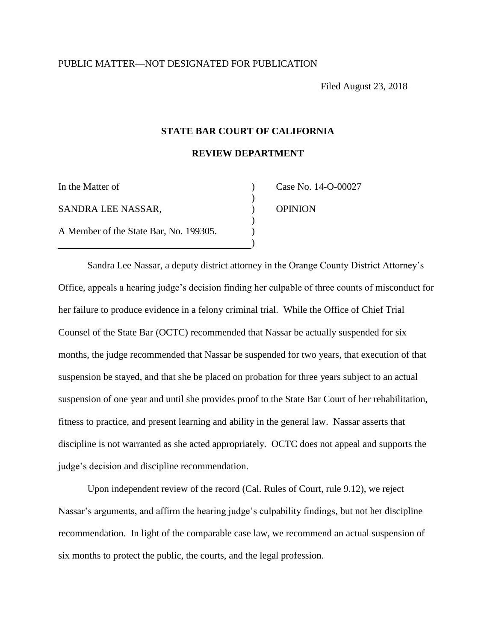Filed August 23, 2018

## **STATE BAR COURT OF CALIFORNIA**

**REVIEW DEPARTMENT** 

| In the Matter of                       |  |
|----------------------------------------|--|
| SANDRA LEE NASSAR.                     |  |
| A Member of the State Bar, No. 199305. |  |

Case No. 14-O-00027 **OPINION** 

Sandra Lee Nassar, a deputy district attorney in the Orange County District Attorney's Office, appeals a hearing judge's decision finding her culpable of three counts of misconduct for her failure to produce evidence in a felony criminal trial. While the Office of Chief Trial Counsel of the State Bar (OCTC) recommended that Nassar be actually suspended for six months, the judge recommended that Nassar be suspended for two years, that execution of that suspension be stayed, and that she be placed on probation for three years subject to an actual suspension of one year and until she provides proof to the State Bar Court of her rehabilitation, fitness to practice, and present learning and ability in the general law. Nassar asserts that discipline is not warranted as she acted appropriately. OCTC does not appeal and supports the judge's decision and discipline recommendation.

Upon independent review of the record (Cal. Rules of Court, rule 9.12), we reject Nassar's arguments, and affirm the hearing judge's culpability findings, but not her discipline recommendation. In light of the comparable case law, we recommend an actual suspension of six months to protect the public, the courts, and the legal profession.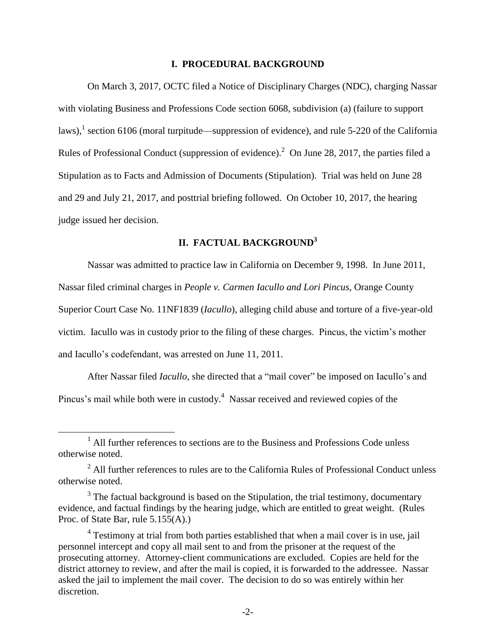#### **I. PROCEDURAL BACKGROUND**

On March 3, 2017, OCTC filed a Notice of Disciplinary Charges (NDC), charging Nassar with violating Business and Professions Code section 6068, subdivision (a) (failure to support laws),<sup>1</sup> section 6106 (moral turpitude—suppression of evidence), and rule 5-220 of the California Rules of Professional Conduct (suppression of evidence).<sup>2</sup> On June 28, 2017, the parties filed a Stipulation as to Facts and Admission of Documents (Stipulation). Trial was held on June 28 and 29 and July 21, 2017, and posttrial briefing followed. On October 10, 2017, the hearing judge issued her decision.

# **II. FACTUAL BACKGROUND<sup>3</sup>**

Nassar was admitted to practice law in California on December 9, 1998. In June 2011, Nassar filed criminal charges in *People v. Carmen Iacullo and Lori Pincus*, Orange County Superior Court Case No. 11NF1839 (*Iacullo*), alleging child abuse and torture of a five-year-old victim. Iacullo was in custody prior to the filing of these charges. Pincus, the victim's mother and Iacullo's codefendant, was arrested on June 11, 2011.

After Nassar filed *Iacullo*, she directed that a "mail cover" be imposed on Iacullo's and Pincus's mail while both were in custody. $4$  Nassar received and reviewed copies of the

 $<sup>1</sup>$  All further references to sections are to the Business and Professions Code unless</sup> otherwise noted.

 $^{2}$  All further references to rules are to the California Rules of Professional Conduct unless otherwise noted.

 $3$  The factual background is based on the Stipulation, the trial testimony, documentary evidence, and factual findings by the hearing judge, which are entitled to great weight. (Rules Proc. of State Bar, rule 5.155(A).)

<sup>&</sup>lt;sup>4</sup> Testimony at trial from both parties established that when a mail cover is in use, jail personnel intercept and copy all mail sent to and from the prisoner at the request of the prosecuting attorney. Attorney-client communications are excluded. Copies are held for the district attorney to review, and after the mail is copied, it is forwarded to the addressee. Nassar asked the jail to implement the mail cover. The decision to do so was entirely within her discretion.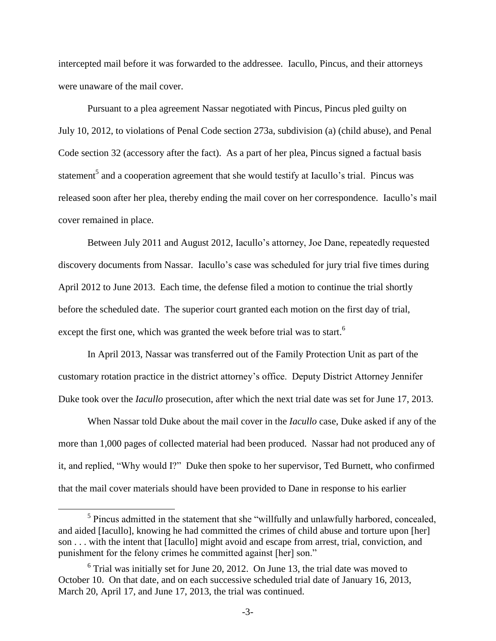intercepted mail before it was forwarded to the addressee. Iacullo, Pincus, and their attorneys were unaware of the mail cover.

Pursuant to a plea agreement Nassar negotiated with Pincus, Pincus pled guilty on July 10, 2012, to violations of Penal Code section 273a, subdivision (a) (child abuse), and Penal Code section 32 (accessory after the fact). As a part of her plea, Pincus signed a factual basis statement<sup>5</sup> and a cooperation agreement that she would testify at Iacullo's trial. Pincus was released soon after her plea, thereby ending the mail cover on her correspondence. Iacullo's mail cover remained in place.

Between July 2011 and August 2012, Iacullo's attorney, Joe Dane, repeatedly requested discovery documents from Nassar. Iacullo's case was scheduled for jury trial five times during April 2012 to June 2013. Each time, the defense filed a motion to continue the trial shortly before the scheduled date. The superior court granted each motion on the first day of trial, except the first one, which was granted the week before trial was to start.<sup>6</sup>

In April 2013, Nassar was transferred out of the Family Protection Unit as part of the customary rotation practice in the district attorney's office. Deputy District Attorney Jennifer Duke took over the *Iacullo* prosecution, after which the next trial date was set for June 17, 2013.

When Nassar told Duke about the mail cover in the *Iacullo* case, Duke asked if any of the more than 1,000 pages of collected material had been produced. Nassar had not produced any of it, and replied, "Why would I?" Duke then spoke to her supervisor, Ted Burnett, who confirmed that the mail cover materials should have been provided to Dane in response to his earlier

<sup>&</sup>lt;sup>5</sup> Pincus admitted in the statement that she "willfully and unlawfully harbored, concealed, and aided [Iacullo], knowing he had committed the crimes of child abuse and torture upon [her] son . . . with the intent that [Iacullo] might avoid and escape from arrest, trial, conviction, and punishment for the felony crimes he committed against [her] son."

 $6$  Trial was initially set for June 20, 2012. On June 13, the trial date was moved to October 10. On that date, and on each successive scheduled trial date of January 16, 2013, March 20, April 17, and June 17, 2013, the trial was continued.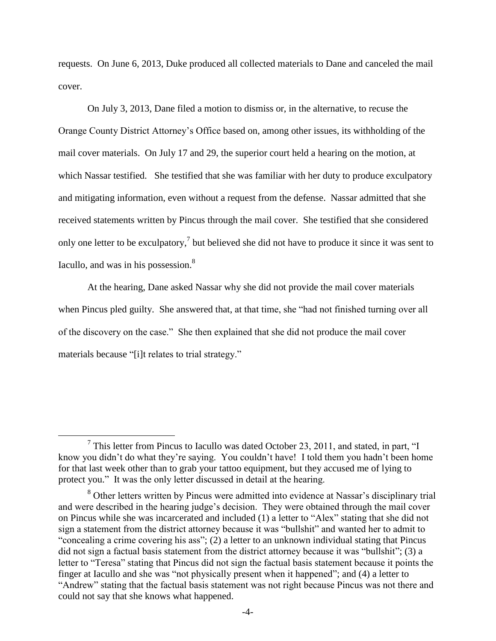requests. On June 6, 2013, Duke produced all collected materials to Dane and canceled the mail cover.

On July 3, 2013, Dane filed a motion to dismiss or, in the alternative, to recuse the Orange County District Attorney's Office based on, among other issues, its withholding of the mail cover materials. On July 17 and 29, the superior court held a hearing on the motion, at which Nassar testified. She testified that she was familiar with her duty to produce exculpatory and mitigating information, even without a request from the defense. Nassar admitted that she received statements written by Pincus through the mail cover. She testified that she considered only one letter to be exculpatory,<sup>7</sup> but believed she did not have to produce it since it was sent to Iacullo, and was in his possession.<sup>8</sup>

At the hearing, Dane asked Nassar why she did not provide the mail cover materials when Pincus pled guilty. She answered that, at that time, she "had not finished turning over all of the discovery on the case." She then explained that she did not produce the mail cover materials because "[i]t relates to trial strategy."

<sup>&</sup>lt;sup>7</sup> This letter from Pincus to Iacullo was dated October 23, 2011, and stated, in part, "I know you didn't do what they're saying. You couldn't have! I told them you hadn't been home for that last week other than to grab your tattoo equipment, but they accused me of lying to protect you." It was the only letter discussed in detail at the hearing.

<sup>&</sup>lt;sup>8</sup> Other letters written by Pincus were admitted into evidence at Nassar's disciplinary trial and were described in the hearing judge's decision. They were obtained through the mail cover on Pincus while she was incarcerated and included (1) a letter to "Alex" stating that she did not sign a statement from the district attorney because it was "bullshit" and wanted her to admit to "concealing a crime covering his ass"; (2) a letter to an unknown individual stating that Pincus did not sign a factual basis statement from the district attorney because it was "bullshit"; (3) a letter to "Teresa" stating that Pincus did not sign the factual basis statement because it points the finger at Iacullo and she was "not physically present when it happened"; and (4) a letter to "Andrew" stating that the factual basis statement was not right because Pincus was not there and could not say that she knows what happened.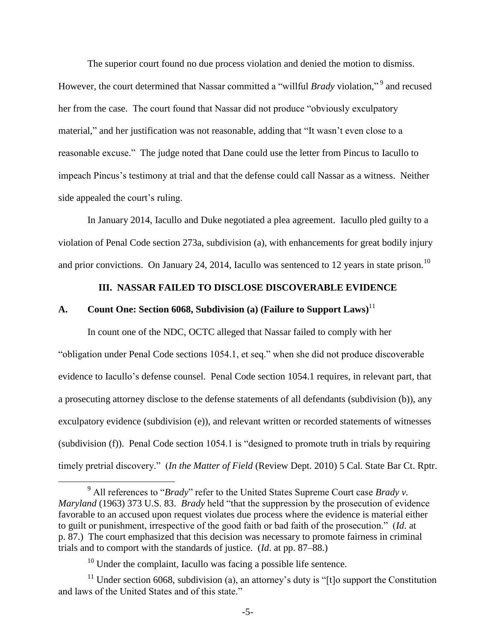The superior court found no due process violation and denied the motion to dismiss. However, the court determined that Nassar committed a "willful *Brady* violation," <sup>9</sup> and recused her from the case. The court found that Nassar did not produce "obviously exculpatory material," and her justification was not reasonable, adding that "It wasn't even close to a reasonable excuse." The judge noted that Dane could use the letter from Pincus to Iacullo to impeach Pincus's testimony at trial and that the defense could call Nassar as a witness. Neither side appealed the court's ruling.

In January 2014, Iacullo and Duke negotiated a plea agreement. Iacullo pled guilty to a violation of Penal Code section 273a, subdivision (a), with enhancements for great bodily injury and prior convictions. On January 24, 2014, Iacullo was sentenced to 12 years in state prison.<sup>10</sup>

# **III. NASSAR FAILED TO DISCLOSE DISCOVERABLE EVIDENCE**

# **A. Count One: Section 6068, Subdivision (a) (Failure to Support Laws)**<sup>11</sup>

In count one of the NDC, OCTC alleged that Nassar failed to comply with her "obligation under Penal Code sections 1054.1, et seq." when she did not produce discoverable evidence to Iacullo's defense counsel. Penal Code section 1054.1 requires, in relevant part, that a prosecuting attorney disclose to the defense statements of all defendants (subdivision (b)), any exculpatory evidence (subdivision (e)), and relevant written or recorded statements of witnesses (subdivision (f)). Penal Code section 1054.1 is "designed to promote truth in trials by requiring timely pretrial discovery." (*In the Matter of Field* (Review Dept. 2010) 5 Cal. State Bar Ct. Rptr.

<sup>9</sup> All references to "*Brady*" refer to the United States Supreme Court case *Brady v. Maryland* (1963) 373 U.S. 83. *Brady* held "that the suppression by the prosecution of evidence favorable to an accused upon request violates due process where the evidence is material either to guilt or punishment, irrespective of the good faith or bad faith of the prosecution." (*Id*. at p. 87.) The court emphasized that this decision was necessary to promote fairness in criminal trials and to comport with the standards of justice. (*Id*. at pp. 87–88.)

 $10$  Under the complaint, Iacullo was facing a possible life sentence.

<sup>&</sup>lt;sup>11</sup> Under section 6068, subdivision (a), an attorney's duty is "[t]o support the Constitution and laws of the United States and of this state."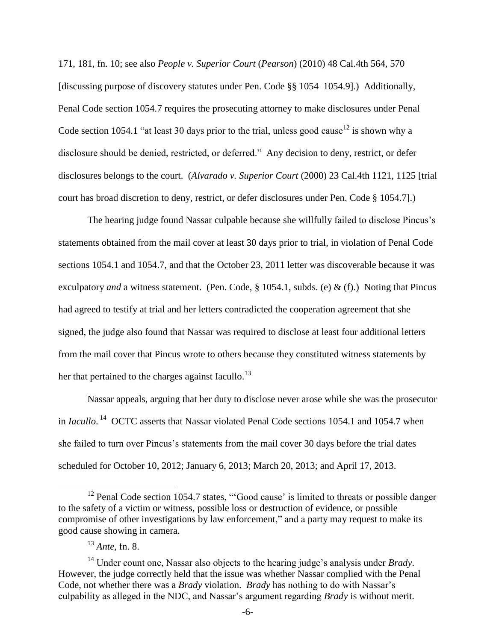171, 181, fn. 10; see also *People v. Superior Court* (*Pearson*) (2010) 48 Cal.4th 564, 570 [discussing purpose of discovery statutes under Pen. Code §§ 1054–1054.9].) Additionally, Penal Code section 1054.7 requires the prosecuting attorney to make disclosures under Penal Code section 1054.1 "at least 30 days prior to the trial, unless good cause<sup>12</sup> is shown why a disclosure should be denied, restricted, or deferred." Any decision to deny, restrict, or defer disclosures belongs to the court. (*Alvarado v. Superior Court* (2000) 23 Cal.4th 1121, 1125 [trial court has broad discretion to deny, restrict, or defer disclosures under Pen. Code § 1054.7].)

The hearing judge found Nassar culpable because she willfully failed to disclose Pincus's statements obtained from the mail cover at least 30 days prior to trial, in violation of Penal Code sections 1054.1 and 1054.7, and that the October 23, 2011 letter was discoverable because it was exculpatory *and* a witness statement. (Pen. Code, § 1054.1, subds. (e) & (f).) Noting that Pincus had agreed to testify at trial and her letters contradicted the cooperation agreement that she signed, the judge also found that Nassar was required to disclose at least four additional letters from the mail cover that Pincus wrote to others because they constituted witness statements by her that pertained to the charges against Iacullo.<sup>13</sup>

Nassar appeals, arguing that her duty to disclose never arose while she was the prosecutor in *Iacullo*. <sup>14</sup> OCTC asserts that Nassar violated Penal Code sections 1054.1 and 1054.7 when she failed to turn over Pincus's statements from the mail cover 30 days before the trial dates scheduled for October 10, 2012; January 6, 2013; March 20, 2013; and April 17, 2013.

<sup>&</sup>lt;sup>12</sup> Penal Code section 1054.7 states, "'Good cause' is limited to threats or possible danger to the safety of a victim or witness, possible loss or destruction of evidence, or possible compromise of other investigations by law enforcement," and a party may request to make its good cause showing in camera.

<sup>13</sup> *Ante*, fn. 8.

<sup>14</sup> Under count one, Nassar also objects to the hearing judge's analysis under *Brady*. However, the judge correctly held that the issue was whether Nassar complied with the Penal Code, not whether there was a *Brady* violation. *Brady* has nothing to do with Nassar's culpability as alleged in the NDC, and Nassar's argument regarding *Brady* is without merit.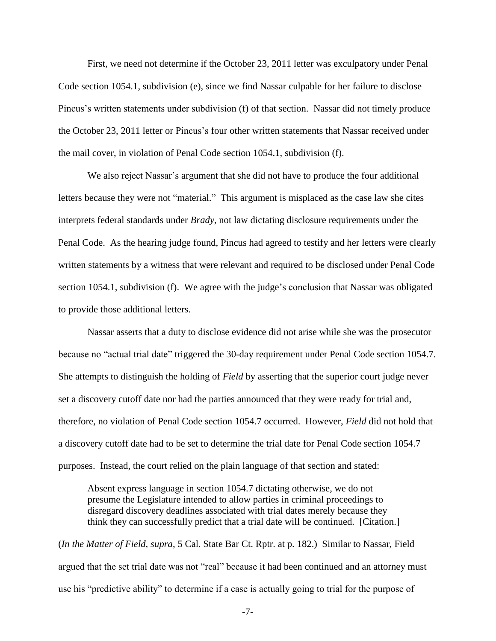First, we need not determine if the October 23, 2011 letter was exculpatory under Penal Code section 1054.1, subdivision (e), since we find Nassar culpable for her failure to disclose Pincus's written statements under subdivision (f) of that section. Nassar did not timely produce the October 23, 2011 letter or Pincus's four other written statements that Nassar received under the mail cover, in violation of Penal Code section 1054.1, subdivision (f).

We also reject Nassar's argument that she did not have to produce the four additional letters because they were not "material." This argument is misplaced as the case law she cites interprets federal standards under *Brady*, not law dictating disclosure requirements under the Penal Code. As the hearing judge found, Pincus had agreed to testify and her letters were clearly written statements by a witness that were relevant and required to be disclosed under Penal Code section 1054.1, subdivision (f). We agree with the judge's conclusion that Nassar was obligated to provide those additional letters.

Nassar asserts that a duty to disclose evidence did not arise while she was the prosecutor because no "actual trial date" triggered the 30-day requirement under Penal Code section 1054.7. She attempts to distinguish the holding of *Field* by asserting that the superior court judge never set a discovery cutoff date nor had the parties announced that they were ready for trial and, therefore, no violation of Penal Code section 1054.7 occurred. However, *Field* did not hold that a discovery cutoff date had to be set to determine the trial date for Penal Code section 1054.7 purposes. Instead, the court relied on the plain language of that section and stated:

Absent express language in section 1054.7 dictating otherwise, we do not presume the Legislature intended to allow parties in criminal proceedings to disregard discovery deadlines associated with trial dates merely because they think they can successfully predict that a trial date will be continued. [Citation.]

(*In the Matter of Field*, *supra*, 5 Cal. State Bar Ct. Rptr. at p. 182.) Similar to Nassar, Field argued that the set trial date was not "real" because it had been continued and an attorney must use his "predictive ability" to determine if a case is actually going to trial for the purpose of

-7-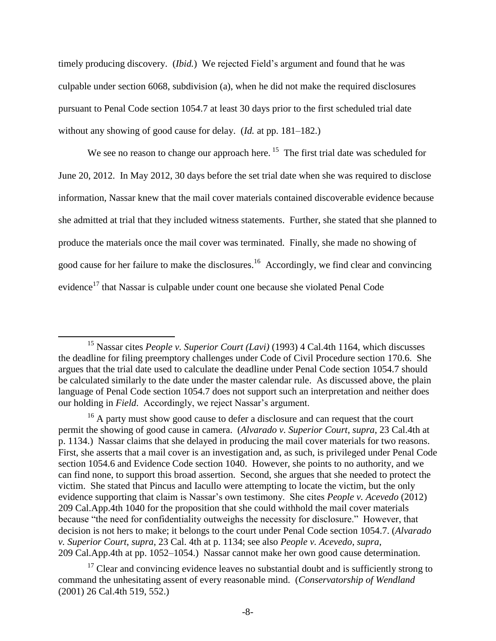timely producing discovery. (*Ibid.*) We rejected Field's argument and found that he was culpable under section 6068, subdivision (a), when he did not make the required disclosures pursuant to Penal Code section 1054.7 at least 30 days prior to the first scheduled trial date without any showing of good cause for delay. (*Id.* at pp. 181–182.)

We see no reason to change our approach here.  $15$  The first trial date was scheduled for June 20, 2012. In May 2012, 30 days before the set trial date when she was required to disclose information, Nassar knew that the mail cover materials contained discoverable evidence because she admitted at trial that they included witness statements. Further, she stated that she planned to produce the materials once the mail cover was terminated. Finally, she made no showing of good cause for her failure to make the disclosures.<sup>16</sup> Accordingly, we find clear and convincing evidence<sup>17</sup> that Nassar is culpable under count one because she violated Penal Code

<sup>15</sup> Nassar cites *People v. Superior Court (Lavi)* (1993) 4 Cal.4th 1164, which discusses the deadline for filing preemptory challenges under Code of Civil Procedure section 170.6. She argues that the trial date used to calculate the deadline under Penal Code section 1054.7 should be calculated similarly to the date under the master calendar rule. As discussed above, the plain language of Penal Code section 1054.7 does not support such an interpretation and neither does our holding in *Field*. Accordingly, we reject Nassar's argument.

 $16$  A party must show good cause to defer a disclosure and can request that the court permit the showing of good cause in camera. (*Alvarado v. Superior Court*, *supra*, 23 Cal.4th at p. 1134.) Nassar claims that she delayed in producing the mail cover materials for two reasons. First, she asserts that a mail cover is an investigation and, as such, is privileged under Penal Code section 1054.6 and Evidence Code section 1040. However, she points to no authority, and we can find none, to support this broad assertion. Second, she argues that she needed to protect the victim. She stated that Pincus and Iacullo were attempting to locate the victim, but the only evidence supporting that claim is Nassar's own testimony. She cites *People v. Acevedo* (2012) 209 Cal.App.4th 1040 for the proposition that she could withhold the mail cover materials because "the need for confidentiality outweighs the necessity for disclosure." However, that decision is not hers to make; it belongs to the court under Penal Code section 1054.7. (*Alvarado v. Superior Court*, *supra*, 23 Cal. 4th at p. 1134; see also *People v. Acevedo*, *supra*, 209 Cal.App.4th at pp. 1052–1054.) Nassar cannot make her own good cause determination.

 $17$  Clear and convincing evidence leaves no substantial doubt and is sufficiently strong to command the unhesitating assent of every reasonable mind. (*Conservatorship of Wendland* (2001) 26 Cal.4th 519, 552.)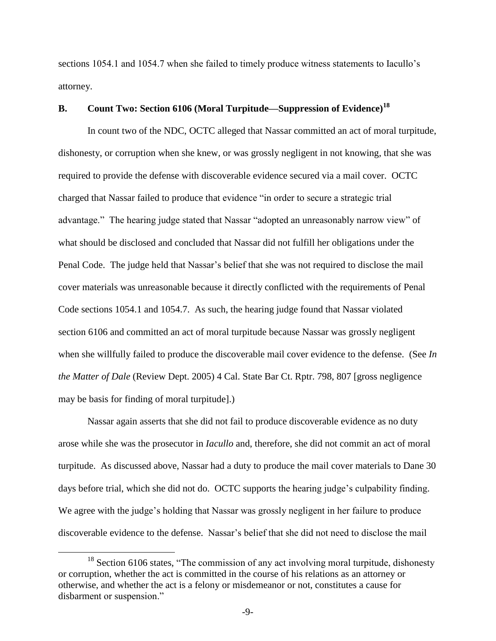sections 1054.1 and 1054.7 when she failed to timely produce witness statements to Iacullo's attorney.

# **B. Count Two: Section 6106 (Moral Turpitude—Suppression of Evidence)<sup>18</sup>**

In count two of the NDC, OCTC alleged that Nassar committed an act of moral turpitude, dishonesty, or corruption when she knew, or was grossly negligent in not knowing, that she was required to provide the defense with discoverable evidence secured via a mail cover. OCTC charged that Nassar failed to produce that evidence "in order to secure a strategic trial advantage." The hearing judge stated that Nassar "adopted an unreasonably narrow view" of what should be disclosed and concluded that Nassar did not fulfill her obligations under the Penal Code. The judge held that Nassar's belief that she was not required to disclose the mail cover materials was unreasonable because it directly conflicted with the requirements of Penal Code sections 1054.1 and 1054.7. As such, the hearing judge found that Nassar violated section 6106 and committed an act of moral turpitude because Nassar was grossly negligent when she willfully failed to produce the discoverable mail cover evidence to the defense. (See *In the Matter of Dale* (Review Dept. 2005) 4 Cal. State Bar Ct. Rptr. 798, 807 [gross negligence may be basis for finding of moral turpitude].)

Nassar again asserts that she did not fail to produce discoverable evidence as no duty arose while she was the prosecutor in *Iacullo* and, therefore, she did not commit an act of moral turpitude. As discussed above, Nassar had a duty to produce the mail cover materials to Dane 30 days before trial, which she did not do. OCTC supports the hearing judge's culpability finding. We agree with the judge's holding that Nassar was grossly negligent in her failure to produce discoverable evidence to the defense. Nassar's belief that she did not need to disclose the mail

 $18$  Section 6106 states, "The commission of any act involving moral turpitude, dishonesty or corruption, whether the act is committed in the course of his relations as an attorney or otherwise, and whether the act is a felony or misdemeanor or not, constitutes a cause for disbarment or suspension."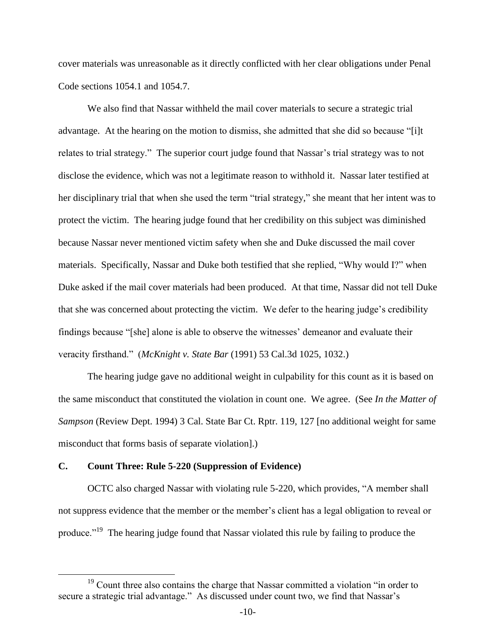cover materials was unreasonable as it directly conflicted with her clear obligations under Penal Code sections 1054.1 and 1054.7.

We also find that Nassar withheld the mail cover materials to secure a strategic trial advantage. At the hearing on the motion to dismiss, she admitted that she did so because "[i]t relates to trial strategy." The superior court judge found that Nassar's trial strategy was to not disclose the evidence, which was not a legitimate reason to withhold it. Nassar later testified at her disciplinary trial that when she used the term "trial strategy," she meant that her intent was to protect the victim. The hearing judge found that her credibility on this subject was diminished because Nassar never mentioned victim safety when she and Duke discussed the mail cover materials. Specifically, Nassar and Duke both testified that she replied, "Why would I?" when Duke asked if the mail cover materials had been produced. At that time, Nassar did not tell Duke that she was concerned about protecting the victim. We defer to the hearing judge's credibility findings because "[she] alone is able to observe the witnesses' demeanor and evaluate their veracity firsthand." (*McKnight v. State Bar* (1991) 53 Cal.3d 1025, 1032.)

The hearing judge gave no additional weight in culpability for this count as it is based on the same misconduct that constituted the violation in count one. We agree. (See *In the Matter of Sampson* (Review Dept. 1994) 3 Cal. State Bar Ct. Rptr. 119, 127 [no additional weight for same misconduct that forms basis of separate violation].)

## **C. Count Three: Rule 5-220 (Suppression of Evidence)**

 $\overline{a}$ 

OCTC also charged Nassar with violating rule 5-220, which provides, "A member shall not suppress evidence that the member or the member's client has a legal obligation to reveal or produce."<sup>19</sup> The hearing judge found that Nassar violated this rule by failing to produce the

<sup>&</sup>lt;sup>19</sup> Count three also contains the charge that Nassar committed a violation "in order to secure a strategic trial advantage." As discussed under count two, we find that Nassar's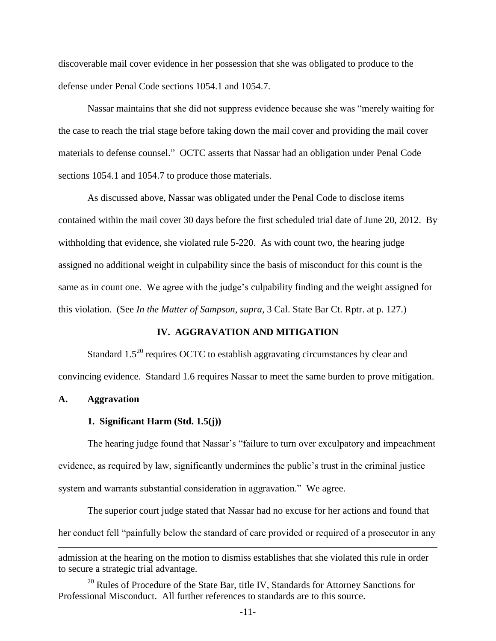discoverable mail cover evidence in her possession that she was obligated to produce to the defense under Penal Code sections 1054.1 and 1054.7.

Nassar maintains that she did not suppress evidence because she was "merely waiting for the case to reach the trial stage before taking down the mail cover and providing the mail cover materials to defense counsel." OCTC asserts that Nassar had an obligation under Penal Code sections 1054.1 and 1054.7 to produce those materials.

As discussed above, Nassar was obligated under the Penal Code to disclose items contained within the mail cover 30 days before the first scheduled trial date of June 20, 2012. By withholding that evidence, she violated rule 5-220. As with count two, the hearing judge assigned no additional weight in culpability since the basis of misconduct for this count is the same as in count one. We agree with the judge's culpability finding and the weight assigned for this violation. (See *In the Matter of Sampson*, *supra*, 3 Cal. State Bar Ct. Rptr. at p. 127.)

## **IV. AGGRAVATION AND MITIGATION**

Standard 1.5<sup>20</sup> requires OCTC to establish aggravating circumstances by clear and convincing evidence. Standard 1.6 requires Nassar to meet the same burden to prove mitigation.

### **A. Aggravation**

## **1. Significant Harm (Std. 1.5(j))**

The hearing judge found that Nassar's "failure to turn over exculpatory and impeachment evidence, as required by law, significantly undermines the public's trust in the criminal justice system and warrants substantial consideration in aggravation." We agree.

The superior court judge stated that Nassar had no excuse for her actions and found that her conduct fell "painfully below the standard of care provided or required of a prosecutor in any  $\overline{a}$ 

admission at the hearing on the motion to dismiss establishes that she violated this rule in order to secure a strategic trial advantage.

<sup>&</sup>lt;sup>20</sup> Rules of Procedure of the State Bar, title IV, Standards for Attorney Sanctions for Professional Misconduct. All further references to standards are to this source.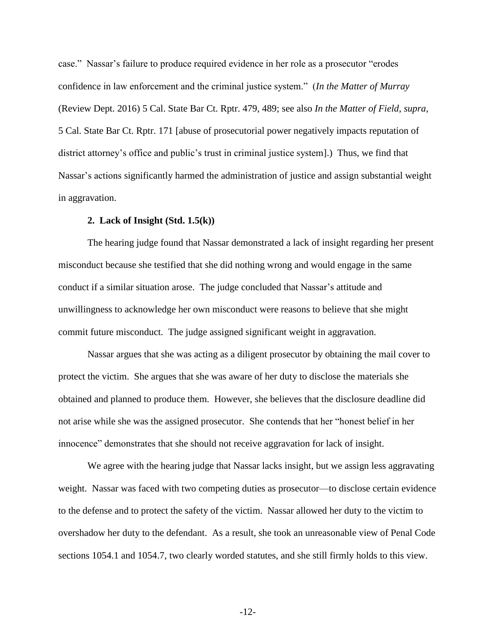case." Nassar's failure to produce required evidence in her role as a prosecutor "erodes confidence in law enforcement and the criminal justice system." (*In the Matter of Murray* (Review Dept. 2016) 5 Cal. State Bar Ct. Rptr. 479, 489; see also *In the Matter of Field*, *supra*, 5 Cal. State Bar Ct. Rptr. 171 [abuse of prosecutorial power negatively impacts reputation of district attorney's office and public's trust in criminal justice system].) Thus, we find that Nassar's actions significantly harmed the administration of justice and assign substantial weight in aggravation.

## **2. Lack of Insight (Std. 1.5(k))**

The hearing judge found that Nassar demonstrated a lack of insight regarding her present misconduct because she testified that she did nothing wrong and would engage in the same conduct if a similar situation arose. The judge concluded that Nassar's attitude and unwillingness to acknowledge her own misconduct were reasons to believe that she might commit future misconduct. The judge assigned significant weight in aggravation.

Nassar argues that she was acting as a diligent prosecutor by obtaining the mail cover to protect the victim. She argues that she was aware of her duty to disclose the materials she obtained and planned to produce them. However, she believes that the disclosure deadline did not arise while she was the assigned prosecutor. She contends that her "honest belief in her innocence" demonstrates that she should not receive aggravation for lack of insight.

We agree with the hearing judge that Nassar lacks insight, but we assign less aggravating weight. Nassar was faced with two competing duties as prosecutor—to disclose certain evidence to the defense and to protect the safety of the victim. Nassar allowed her duty to the victim to overshadow her duty to the defendant. As a result, she took an unreasonable view of Penal Code sections 1054.1 and 1054.7, two clearly worded statutes, and she still firmly holds to this view.

-12-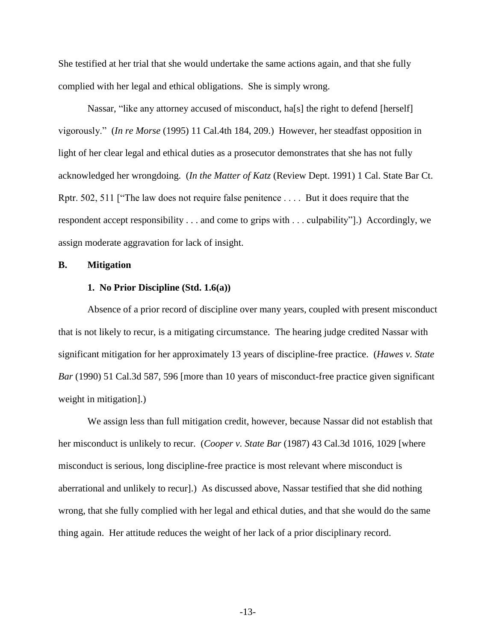She testified at her trial that she would undertake the same actions again, and that she fully complied with her legal and ethical obligations. She is simply wrong.

Nassar, "like any attorney accused of misconduct, ha[s] the right to defend [herself] vigorously." (*In re Morse* (1995) 11 Cal.4th 184, 209.) However, her steadfast opposition in light of her clear legal and ethical duties as a prosecutor demonstrates that she has not fully acknowledged her wrongdoing. (*In the Matter of Katz* (Review Dept. 1991) 1 Cal. State Bar Ct. Rptr. 502, 511 ["The law does not require false penitence . . . . But it does require that the respondent accept responsibility . . . and come to grips with . . . culpability"].) Accordingly, we assign moderate aggravation for lack of insight.

#### **B. Mitigation**

## **1. No Prior Discipline (Std. 1.6(a))**

Absence of a prior record of discipline over many years, coupled with present misconduct that is not likely to recur, is a mitigating circumstance. The hearing judge credited Nassar with significant mitigation for her approximately 13 years of discipline-free practice. (*Hawes v. State Bar* (1990) 51 Cal.3d 587, 596 [more than 10 years of misconduct-free practice given significant weight in mitigation].)

We assign less than full mitigation credit, however, because Nassar did not establish that her misconduct is unlikely to recur. (*Cooper v. State Bar* (1987) 43 Cal.3d 1016, 1029 [where misconduct is serious, long discipline-free practice is most relevant where misconduct is aberrational and unlikely to recur].) As discussed above, Nassar testified that she did nothing wrong, that she fully complied with her legal and ethical duties, and that she would do the same thing again. Her attitude reduces the weight of her lack of a prior disciplinary record.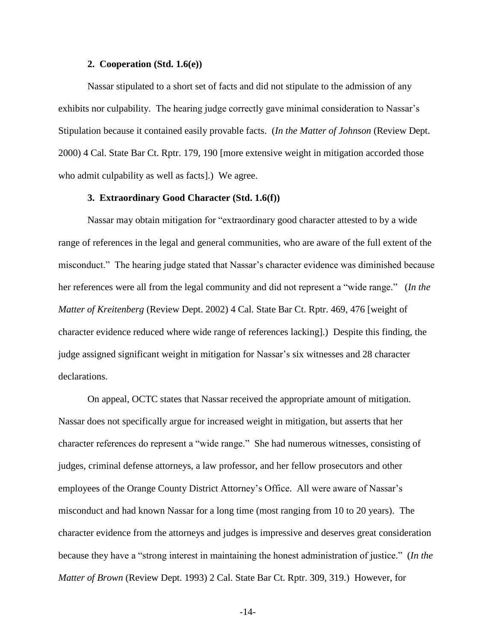#### **2. Cooperation (Std. 1.6(e))**

Nassar stipulated to a short set of facts and did not stipulate to the admission of any exhibits nor culpability. The hearing judge correctly gave minimal consideration to Nassar's Stipulation because it contained easily provable facts. (*In the Matter of Johnson* (Review Dept. 2000) 4 Cal. State Bar Ct. Rptr. 179, 190 [more extensive weight in mitigation accorded those who admit culpability as well as facts].) We agree.

## **3. Extraordinary Good Character (Std. 1.6(f))**

Nassar may obtain mitigation for "extraordinary good character attested to by a wide range of references in the legal and general communities, who are aware of the full extent of the misconduct." The hearing judge stated that Nassar's character evidence was diminished because her references were all from the legal community and did not represent a "wide range." (*In the Matter of Kreitenberg* (Review Dept. 2002) 4 Cal. State Bar Ct. Rptr. 469, 476 [weight of character evidence reduced where wide range of references lacking].) Despite this finding, the judge assigned significant weight in mitigation for Nassar's six witnesses and 28 character declarations.

On appeal, OCTC states that Nassar received the appropriate amount of mitigation. Nassar does not specifically argue for increased weight in mitigation, but asserts that her character references do represent a "wide range." She had numerous witnesses, consisting of judges, criminal defense attorneys, a law professor, and her fellow prosecutors and other employees of the Orange County District Attorney's Office. All were aware of Nassar's misconduct and had known Nassar for a long time (most ranging from 10 to 20 years). The character evidence from the attorneys and judges is impressive and deserves great consideration because they have a "strong interest in maintaining the honest administration of justice." (*In the Matter of Brown* (Review Dept. 1993) 2 Cal. State Bar Ct. Rptr. 309, 319.) However, for

-14-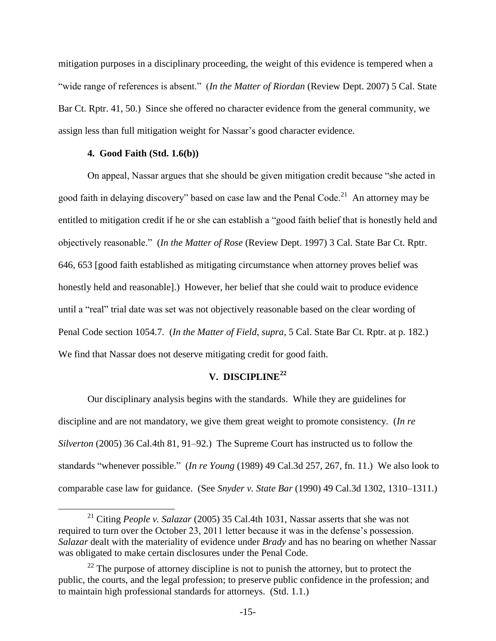mitigation purposes in a disciplinary proceeding, the weight of this evidence is tempered when a "wide range of references is absent." (*In the Matter of Riordan* (Review Dept. 2007) 5 Cal. State Bar Ct. Rptr. 41, 50.) Since she offered no character evidence from the general community, we assign less than full mitigation weight for Nassar's good character evidence.

## **4. Good Faith (Std. 1.6(b))**

 $\overline{a}$ 

On appeal, Nassar argues that she should be given mitigation credit because "she acted in good faith in delaying discovery" based on case law and the Penal Code.<sup>21</sup> An attorney may be entitled to mitigation credit if he or she can establish a "good faith belief that is honestly held and objectively reasonable." (*In the Matter of Rose* (Review Dept. 1997) 3 Cal. State Bar Ct. Rptr. 646, 653 [good faith established as mitigating circumstance when attorney proves belief was honestly held and reasonable].) However, her belief that she could wait to produce evidence until a "real" trial date was set was not objectively reasonable based on the clear wording of Penal Code section 1054.7. (*In the Matter of Field*, *supra*, 5 Cal. State Bar Ct. Rptr. at p. 182.) We find that Nassar does not deserve mitigating credit for good faith.

# **V. DISCIPLINE<sup>22</sup>**

Our disciplinary analysis begins with the standards. While they are guidelines for discipline and are not mandatory, we give them great weight to promote consistency. (*In re Silverton* (2005) 36 Cal.4th 81, 91–92.) The Supreme Court has instructed us to follow the standards "whenever possible." (*In re Young* (1989) 49 Cal.3d 257, 267, fn. 11.) We also look to comparable case law for guidance. (See *Snyder v. State Bar* (1990) 49 Cal.3d 1302, 1310–1311.)

<sup>21</sup> Citing *People v. Salazar* (2005) 35 Cal.4th 1031, Nassar asserts that she was not required to turn over the October 23, 2011 letter because it was in the defense's possession. *Salazar* dealt with the materiality of evidence under *Brady* and has no bearing on whether Nassar was obligated to make certain disclosures under the Penal Code.

 $22$  The purpose of attorney discipline is not to punish the attorney, but to protect the public, the courts, and the legal profession; to preserve public confidence in the profession; and to maintain high professional standards for attorneys. (Std. 1.1.)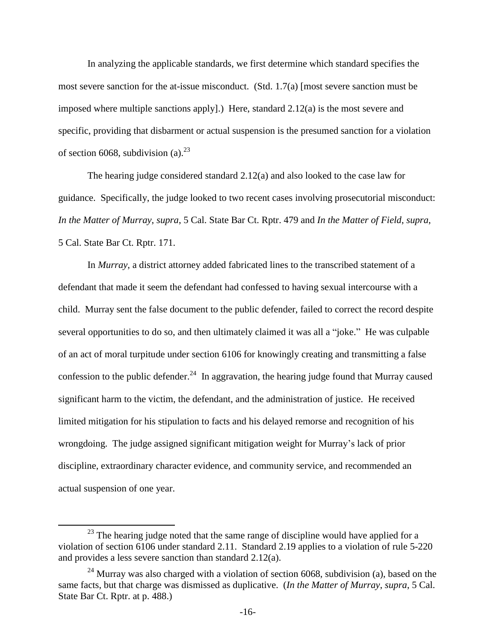In analyzing the applicable standards, we first determine which standard specifies the most severe sanction for the at-issue misconduct. (Std.  $1.7(a)$  [most severe sanction must be imposed where multiple sanctions apply].) Here, standard  $2.12(a)$  is the most severe and specific, providing that disbarment or actual suspension is the presumed sanction for a violation of section 6068, subdivision  $(a)$ <sup>23</sup>

The hearing judge considered standard  $2.12(a)$  and also looked to the case law for guidance. Specifically, the judge looked to two recent cases involving prosecutorial misconduct: *In the Matter of Murray*, *supra*, 5 Cal. State Bar Ct. Rptr. 479 and *In the Matter of Field*, *supra*, 5 Cal. State Bar Ct. Rptr. 171.

In *Murray*, a district attorney added fabricated lines to the transcribed statement of a defendant that made it seem the defendant had confessed to having sexual intercourse with a child. Murray sent the false document to the public defender, failed to correct the record despite several opportunities to do so, and then ultimately claimed it was all a "joke." He was culpable of an act of moral turpitude under section 6106 for knowingly creating and transmitting a false confession to the public defender.<sup>24</sup> In aggravation, the hearing judge found that Murray caused significant harm to the victim, the defendant, and the administration of justice. He received limited mitigation for his stipulation to facts and his delayed remorse and recognition of his wrongdoing. The judge assigned significant mitigation weight for Murray's lack of prior discipline, extraordinary character evidence, and community service, and recommended an actual suspension of one year.

 $23$  The hearing judge noted that the same range of discipline would have applied for a violation of section 6106 under standard 2.11. Standard 2.19 applies to a violation of rule 5-220 and provides a less severe sanction than standard 2.12(a).

 $24$  Murray was also charged with a violation of section 6068, subdivision (a), based on the same facts, but that charge was dismissed as duplicative. (*In the Matter of Murray*, *supra*, 5 Cal. State Bar Ct. Rptr. at p. 488.)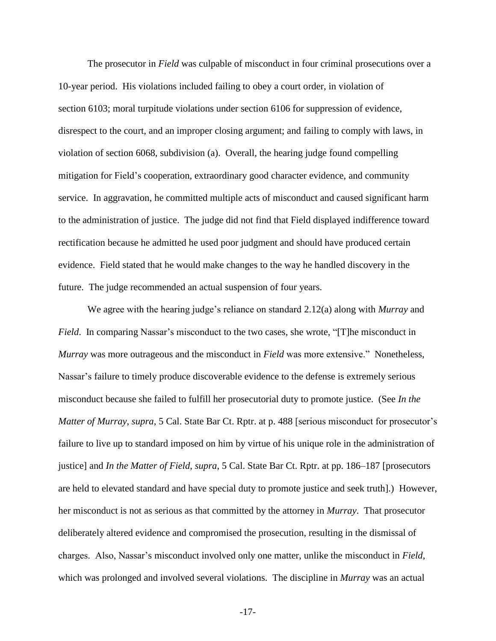The prosecutor in *Field* was culpable of misconduct in four criminal prosecutions over a 10-year period. His violations included failing to obey a court order, in violation of section 6103; moral turpitude violations under section 6106 for suppression of evidence, disrespect to the court, and an improper closing argument; and failing to comply with laws, in violation of section 6068, subdivision (a). Overall, the hearing judge found compelling mitigation for Field's cooperation, extraordinary good character evidence, and community service. In aggravation, he committed multiple acts of misconduct and caused significant harm to the administration of justice. The judge did not find that Field displayed indifference toward rectification because he admitted he used poor judgment and should have produced certain evidence. Field stated that he would make changes to the way he handled discovery in the future. The judge recommended an actual suspension of four years.

We agree with the hearing judge's reliance on standard 2.12(a) along with *Murray* and *Field.* In comparing Nassar's misconduct to the two cases, she wrote, "[T]he misconduct in *Murray* was more outrageous and the misconduct in *Field* was more extensive." Nonetheless, Nassar's failure to timely produce discoverable evidence to the defense is extremely serious misconduct because she failed to fulfill her prosecutorial duty to promote justice. (See *In the Matter of Murray*, *supra*, 5 Cal. State Bar Ct. Rptr. at p. 488 [serious misconduct for prosecutor's failure to live up to standard imposed on him by virtue of his unique role in the administration of justice] and *In the Matter of Field*, *supra*, 5 Cal. State Bar Ct. Rptr. at pp. 186–187 [prosecutors are held to elevated standard and have special duty to promote justice and seek truth].) However, her misconduct is not as serious as that committed by the attorney in *Murray*. That prosecutor deliberately altered evidence and compromised the prosecution, resulting in the dismissal of charges. Also, Nassar's misconduct involved only one matter, unlike the misconduct in *Field*, which was prolonged and involved several violations. The discipline in *Murray* was an actual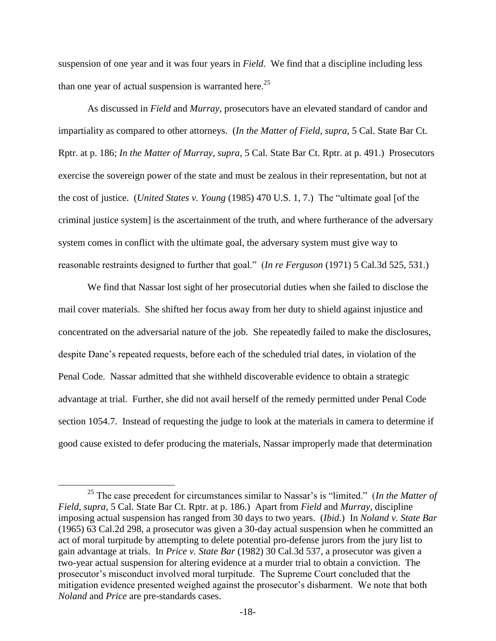suspension of one year and it was four years in *Field*. We find that a discipline including less than one year of actual suspension is warranted here.<sup>25</sup>

As discussed in *Field* and *Murray*, prosecutors have an elevated standard of candor and impartiality as compared to other attorneys. (*In the Matter of Field*, *supra*, 5 Cal. State Bar Ct. Rptr. at p. 186; *In the Matter of Murray*, *supra*, 5 Cal. State Bar Ct. Rptr. at p. 491.) Prosecutors exercise the sovereign power of the state and must be zealous in their representation, but not at the cost of justice. (*United States v. Young* (1985) 470 U.S. 1, 7.) The "ultimate goal [of the criminal justice system] is the ascertainment of the truth, and where furtherance of the adversary system comes in conflict with the ultimate goal, the adversary system must give way to reasonable restraints designed to further that goal." (*In re Ferguson* (1971) 5 Cal.3d 525, 531.)

We find that Nassar lost sight of her prosecutorial duties when she failed to disclose the mail cover materials. She shifted her focus away from her duty to shield against injustice and concentrated on the adversarial nature of the job. She repeatedly failed to make the disclosures, despite Dane's repeated requests, before each of the scheduled trial dates, in violation of the Penal Code. Nassar admitted that she withheld discoverable evidence to obtain a strategic advantage at trial. Further, she did not avail herself of the remedy permitted under Penal Code section 1054.7. Instead of requesting the judge to look at the materials in camera to determine if good cause existed to defer producing the materials, Nassar improperly made that determination

<sup>25</sup> The case precedent for circumstances similar to Nassar's is "limited." (*In the Matter of Field*, *supra*, 5 Cal. State Bar Ct. Rptr. at p. 186.) Apart from *Field* and *Murray*, discipline imposing actual suspension has ranged from 30 days to two years. (*Ibid.*) In *Noland v. State Bar* (1965) 63 Cal.2d 298, a prosecutor was given a 30-day actual suspension when he committed an act of moral turpitude by attempting to delete potential pro-defense jurors from the jury list to gain advantage at trials. In *Price v. State Bar* (1982) 30 Cal.3d 537, a prosecutor was given a two-year actual suspension for altering evidence at a murder trial to obtain a conviction. The prosecutor's misconduct involved moral turpitude. The Supreme Court concluded that the mitigation evidence presented weighed against the prosecutor's disbarment. We note that both *Noland* and *Price* are pre-standards cases.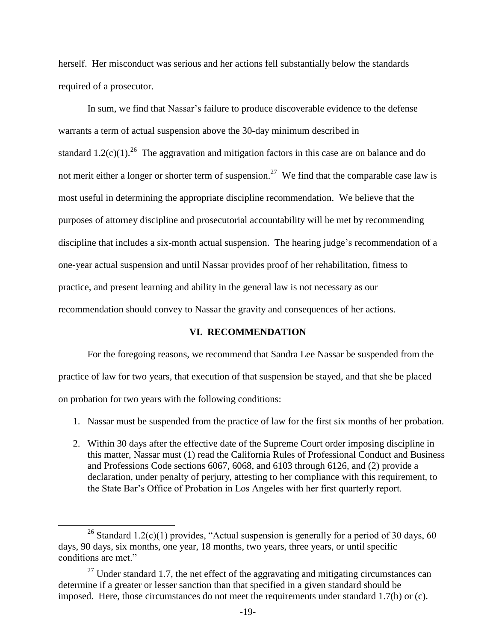herself. Her misconduct was serious and her actions fell substantially below the standards required of a prosecutor.

In sum, we find that Nassar's failure to produce discoverable evidence to the defense warrants a term of actual suspension above the 30-day minimum described in standard  $1.2(c)(1)$ .<sup>26</sup> The aggravation and mitigation factors in this case are on balance and do not merit either a longer or shorter term of suspension.<sup>27</sup> We find that the comparable case law is most useful in determining the appropriate discipline recommendation. We believe that the purposes of attorney discipline and prosecutorial accountability will be met by recommending discipline that includes a six-month actual suspension. The hearing judge's recommendation of a one-year actual suspension and until Nassar provides proof of her rehabilitation, fitness to practice, and present learning and ability in the general law is not necessary as our recommendation should convey to Nassar the gravity and consequences of her actions.

## **VI. RECOMMENDATION**

For the foregoing reasons, we recommend that Sandra Lee Nassar be suspended from the practice of law for two years, that execution of that suspension be stayed, and that she be placed on probation for two years with the following conditions:

- 1. Nassar must be suspended from the practice of law for the first six months of her probation.
- 2. Within 30 days after the effective date of the Supreme Court order imposing discipline in this matter, Nassar must (1) read the California Rules of Professional Conduct and Business and Professions Code sections 6067, 6068, and 6103 through 6126, and (2) provide a declaration, under penalty of perjury, attesting to her compliance with this requirement, to the State Bar's Office of Probation in Los Angeles with her first quarterly report.

<sup>&</sup>lt;sup>26</sup> Standard 1.2(c)(1) provides, "Actual suspension is generally for a period of 30 days, 60 days, 90 days, six months, one year, 18 months, two years, three years, or until specific conditions are met."

 $27$  Under standard 1.7, the net effect of the aggravating and mitigating circumstances can determine if a greater or lesser sanction than that specified in a given standard should be imposed. Here, those circumstances do not meet the requirements under standard 1.7(b) or (c).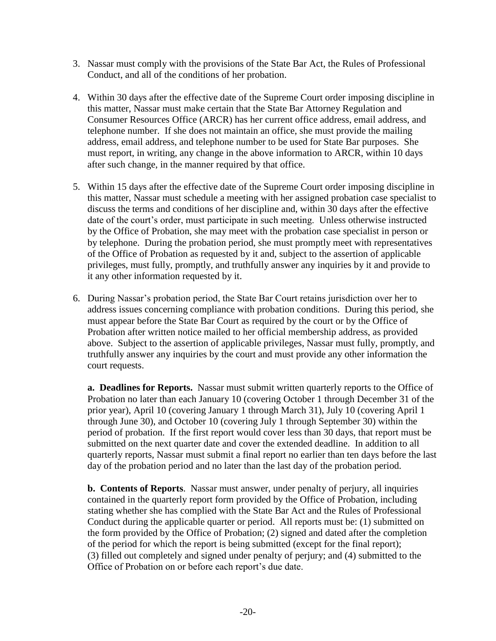- 3. Nassar must comply with the provisions of the State Bar Act, the Rules of Professional Conduct, and all of the conditions of her probation.
- 4. Within 30 days after the effective date of the Supreme Court order imposing discipline in this matter, Nassar must make certain that the State Bar Attorney Regulation and Consumer Resources Office (ARCR) has her current office address, email address, and telephone number. If she does not maintain an office, she must provide the mailing address, email address, and telephone number to be used for State Bar purposes. She must report, in writing, any change in the above information to ARCR, within 10 days after such change, in the manner required by that office.
- 5. Within 15 days after the effective date of the Supreme Court order imposing discipline in this matter, Nassar must schedule a meeting with her assigned probation case specialist to discuss the terms and conditions of her discipline and, within 30 days after the effective date of the court's order, must participate in such meeting. Unless otherwise instructed by the Office of Probation, she may meet with the probation case specialist in person or by telephone. During the probation period, she must promptly meet with representatives of the Office of Probation as requested by it and, subject to the assertion of applicable privileges, must fully, promptly, and truthfully answer any inquiries by it and provide to it any other information requested by it.
- 6. During Nassar's probation period, the State Bar Court retains jurisdiction over her to address issues concerning compliance with probation conditions. During this period, she must appear before the State Bar Court as required by the court or by the Office of Probation after written notice mailed to her official membership address, as provided above. Subject to the assertion of applicable privileges, Nassar must fully, promptly, and truthfully answer any inquiries by the court and must provide any other information the court requests.

**a. Deadlines for Reports.** Nassar must submit written quarterly reports to the Office of Probation no later than each January 10 (covering October 1 through December 31 of the prior year), April 10 (covering January 1 through March 31), July 10 (covering April 1 through June 30), and October 10 (covering July 1 through September 30) within the period of probation. If the first report would cover less than 30 days, that report must be submitted on the next quarter date and cover the extended deadline. In addition to all quarterly reports, Nassar must submit a final report no earlier than ten days before the last day of the probation period and no later than the last day of the probation period.

**b. Contents of Reports**. Nassar must answer, under penalty of perjury, all inquiries contained in the quarterly report form provided by the Office of Probation, including stating whether she has complied with the State Bar Act and the Rules of Professional Conduct during the applicable quarter or period. All reports must be: (1) submitted on the form provided by the Office of Probation; (2) signed and dated after the completion of the period for which the report is being submitted (except for the final report); (3) filled out completely and signed under penalty of perjury; and (4) submitted to the Office of Probation on or before each report's due date.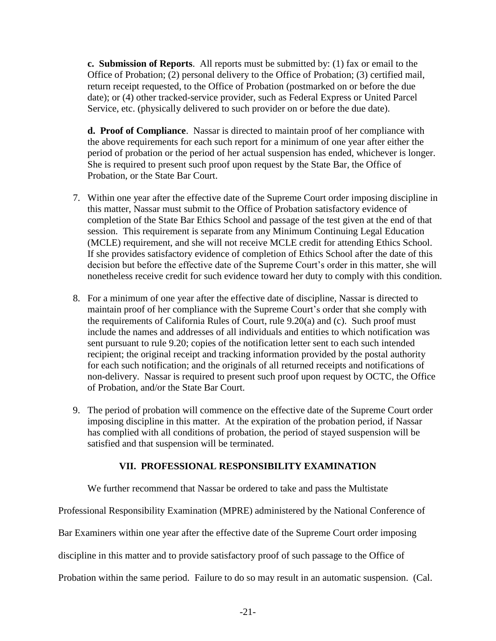**c. Submission of Reports**. All reports must be submitted by: (1) fax or email to the Office of Probation; (2) personal delivery to the Office of Probation; (3) certified mail, return receipt requested, to the Office of Probation (postmarked on or before the due date); or (4) other tracked-service provider, such as Federal Express or United Parcel Service, etc. (physically delivered to such provider on or before the due date).

**d. Proof of Compliance**. Nassar is directed to maintain proof of her compliance with the above requirements for each such report for a minimum of one year after either the period of probation or the period of her actual suspension has ended, whichever is longer. She is required to present such proof upon request by the State Bar, the Office of Probation, or the State Bar Court.

- 7. Within one year after the effective date of the Supreme Court order imposing discipline in this matter, Nassar must submit to the Office of Probation satisfactory evidence of completion of the State Bar Ethics School and passage of the test given at the end of that session. This requirement is separate from any Minimum Continuing Legal Education (MCLE) requirement, and she will not receive MCLE credit for attending Ethics School. If she provides satisfactory evidence of completion of Ethics School after the date of this decision but before the effective date of the Supreme Court's order in this matter, she will nonetheless receive credit for such evidence toward her duty to comply with this condition.
- 8. For a minimum of one year after the effective date of discipline, Nassar is directed to maintain proof of her compliance with the Supreme Court's order that she comply with the requirements of California Rules of Court, rule 9.20(a) and (c). Such proof must include the names and addresses of all individuals and entities to which notification was sent pursuant to rule 9.20; copies of the notification letter sent to each such intended recipient; the original receipt and tracking information provided by the postal authority for each such notification; and the originals of all returned receipts and notifications of non-delivery. Nassar is required to present such proof upon request by OCTC, the Office of Probation, and/or the State Bar Court.
- 9. The period of probation will commence on the effective date of the Supreme Court order imposing discipline in this matter. At the expiration of the probation period, if Nassar has complied with all conditions of probation, the period of stayed suspension will be satisfied and that suspension will be terminated.

# **VII. PROFESSIONAL RESPONSIBILITY EXAMINATION**

We further recommend that Nassar be ordered to take and pass the Multistate

Professional Responsibility Examination (MPRE) administered by the National Conference of

Bar Examiners within one year after the effective date of the Supreme Court order imposing

discipline in this matter and to provide satisfactory proof of such passage to the Office of

Probation within the same period. Failure to do so may result in an automatic suspension. (Cal.